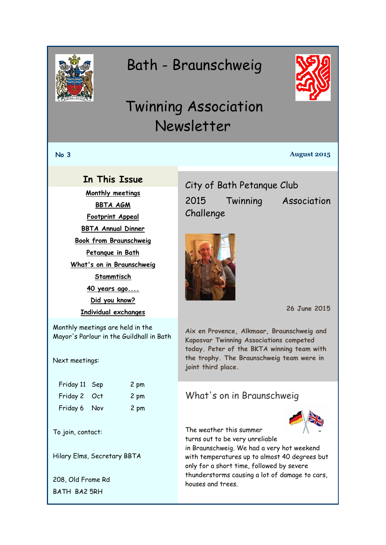<span id="page-0-0"></span>

# Bath - Braunschweig



# Twinning Association Newsletter

#### **No 3 August 2015**

#### **In This Issue**

**[Monthly meetings](#page-0-0) [BBTA AGM](#page-1-0) [Footprint Appeal](#page-1-0) [BBTA Annual Dinner](#page-2-0) [Book from Braunschweig](#page-2-0) [Petanque in Bath](#page-0-1) [What's on in Braunschweig](#page-0-0) [Stammtisch](#page-1-0) [40 years ago....](#page-1-1)**

> **[Did you know?](#page-2-0) [Individual exchanges](#page-2-0)**

Monthly meetings are held in the Mayor's Parlour in the Guildhall in Bath

Next meetings:

| Friday 11 Sep | 2 pm |
|---------------|------|
| Friday 2 Oct  | 2 pm |
| Friday 6 Nov  | 2 pm |

To join, contact:

Hilary Elms, Secretary BBTA

208, Old Frome Rd BATH BA2 5RH

<span id="page-0-1"></span>City of Bath Petanque Club 2015 Twinning Association Challenge





**26 June 2015**

**Aix en Provence, Alkmaar, Braunschweig and Kaposvar Twinning Associations competed today. Peter of the BKTA winning team with the trophy. The Braunschweig team were in joint third place.**

## What's on in Braunschweig

The weather this summer turns out to be very unreliable

in Braunschweig. We had a very hot weekend with temperatures up to almost 40 degrees but only for a short time, followed by severe thunderstorms causing a lot of damage to cars, houses and trees.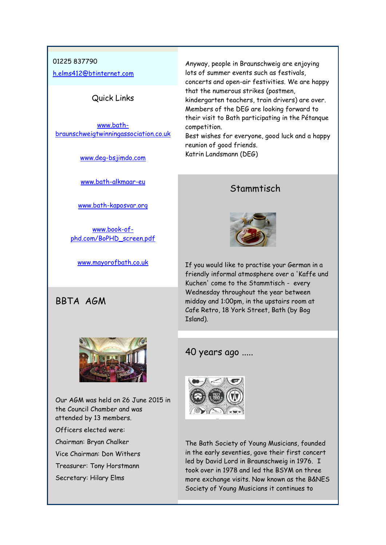#### <span id="page-1-0"></span>01225 837790

[h.elms412@btinternet.com](mailto:h.elms412@btinternet.com)

#### Quick Links

[www.bath](http://www.bath-braunschweigtwinningassociation.co.uk/)[braunschweigtwinningassociation.co.uk](http://www.bath-braunschweigtwinningassociation.co.uk/)

[www.deg-bsjimdo.com](http://r20.rs6.net/tn.jsp?f=001XEAGFezQBUQbR2PCTBDhXF9NbWPy9eLh6UtWGVUrppXfYN5BYE6Ni4ruT2F4OLqhuEC2Y8iIzfhSxgtzB3ZGNHvulB-yeDjlg2OT-F6G2qJLTK4BtmLh4oP4NrI5vrZOGl7ituYfBSFepoMwoM7JLf8Do18sZGr9kcb5-znT42c=&c=kMXo3u9cCTwIHEpJUXZ0phBJfSGtgK1-HXjLBvfDSGswaWLqICqFzw==&ch=qOimm4Bs6na3h351xX7xC_wCEk-8_YgK9jQ3Dh6WUJFBhH4xd51DSQ==)

[www.bath-alkmaar-eu](http://r20.rs6.net/tn.jsp?f=001XEAGFezQBUQbR2PCTBDhXF9NbWPy9eLh6UtWGVUrppXfYN5BYE6Ni4ruT2F4OLqhu5AqLQw5jZo74zqPEWLsqVZaBGCFf15zYFEuJhsmi0JWrQS3Jl0qD4GQKy1Bv8QeLoTkbk4_XcqRBEQ8de00_HV4ETkZwrTx9T-MTUiJsAw=&c=kMXo3u9cCTwIHEpJUXZ0phBJfSGtgK1-HXjLBvfDSGswaWLqICqFzw==&ch=qOimm4Bs6na3h351xX7xC_wCEk-8_YgK9jQ3Dh6WUJFBhH4xd51DSQ==)

[www.bath-kaposvar.org](http://r20.rs6.net/tn.jsp?f=001XEAGFezQBUQbR2PCTBDhXF9NbWPy9eLh6UtWGVUrppXfYN5BYE6Ni4ruT2F4OLqhWo1f3kGQ5EBv1LXUPaRJGsBrJCRRpNDUrr7eH1jT1UQVev0IvUAChz4bVMOtuK5s7mIqh7v81cXKBwGGWFOXuEAnf-hgbItbtOMHORAEXPubGvINFZknFw==&c=kMXo3u9cCTwIHEpJUXZ0phBJfSGtgK1-HXjLBvfDSGswaWLqICqFzw==&ch=qOimm4Bs6na3h351xX7xC_wCEk-8_YgK9jQ3Dh6WUJFBhH4xd51DSQ==)

[www.book-of](http://www.book-of-phd.com/BoPHD_screen.pdf)[phd.com/BoPHD\\_screen.pdf](http://www.book-of-phd.com/BoPHD_screen.pdf)

[www.mayorofbath.co.uk](http://www.mayorofbath.co.uk/)

#### BBTA AGM



Our AGM was held on 26 June 2015 in the Council Chamber and was attended by 13 members.

Officers elected were:

Chairman: Bryan Chalker

Vice Chairman: Don Withers

Treasurer: Tony Horstmann

Secretary: Hilary Elms

Anyway, people in Braunschweig are enjoying lots of summer events such as festivals, concerts and open-air festivities. We are happy that the numerous strikes (postmen, kindergarten teachers, train drivers) are over. Members of the DEG are looking forward to their visit to Bath participating in the Pétanque competition.

Best wishes for everyone, good luck and a happy reunion of good friends. Katrin Landsmann (DEG)

## **Stammtisch**



If you would like to practise your German in a friendly informal atmosphere over a 'Kaffe und Kuchen' come to the Stammtisch - every Wednesday throughout the year between midday and 1:00pm, in the upstairs room at Cafe Retro, 18 York Street, Bath (by Bog Island).

## <span id="page-1-1"></span>40 years ago .....



The Bath Society of Young Musicians, founded in the early seventies, gave their first concert led by David Lord in Braunschweig in 1976. I took over in 1978 and led the BSYM on three more exchange visits. Now known as the B&NES Society of Young Musicians it continues to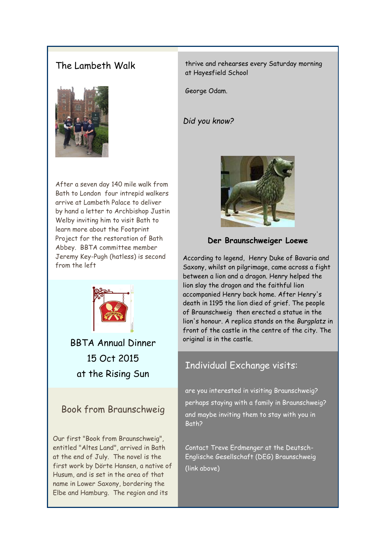# <span id="page-2-0"></span>The Lambeth Walk



After a seven day 140 mile walk from Bath to London four intrepid walkers arrive at Lambeth Palace to deliver by hand a letter to Archbishop Justin Welby inviting him to visit Bath to learn more about the Footprint Project for the restoration of Bath Abbey. BBTA committee member Jeremy Key-Pugh (hatless) is second from the left



BBTA Annual Dinner 15 Oct 2015 at the Rising Sun

## Book from Braunschweig

Our first "Book from Braunschweig", entitled "Altes Land", arrived in Bath at the end of July. The novel is the first work by Dörte Hansen, a native of Husum, and is set in the area of that name in Lower Saxony, bordering the Elbe and Hamburg. The region and its

thrive and rehearses every Saturday morning at Hayesfield School

George Odam.

#### *Did you know?*



**Der Braunschweiger Loewe**

According to legend, Henry Duke of Bavaria and Saxony, whilst on pilgrimage, came across a fight between a lion and a dragon. Henry helped the lion slay the dragon and the faithful lion accompanied Henry back home. After Henry's death in 1195 the lion died of grief. The people of Braunschweig then erected a statue in the lion's honour. A replica stands on the *Burgplatz* in front of the castle in the centre of the city. The original is in the castle.

## Individual Exchange visits:

are you interested in visiting Braunschweig? perhaps staying with a family in Braunschweig? and maybe inviting them to stay with you in Bath?

Contact Treve Erdmenger at the Deutsch-Englische Gesellschaft (DEG) Braunschweig (link above)